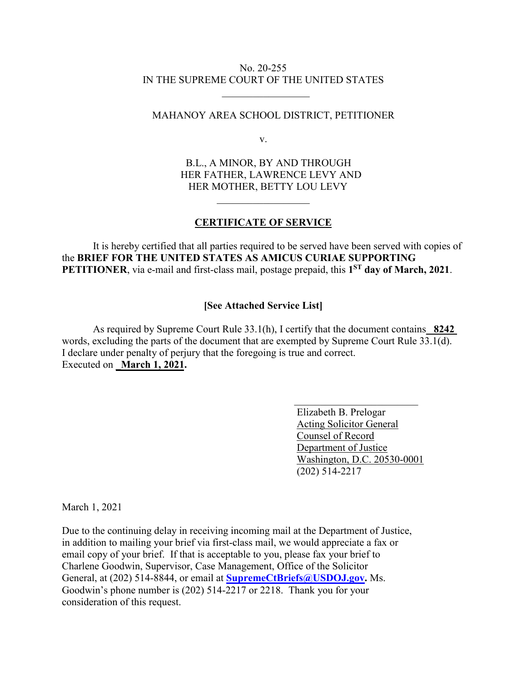## No. 20-255 IN THE SUPREME COURT OF THE UNITED STATES

 $\overline{\phantom{a}}$  ,  $\overline{\phantom{a}}$  ,  $\overline{\phantom{a}}$  ,  $\overline{\phantom{a}}$  ,  $\overline{\phantom{a}}$  ,  $\overline{\phantom{a}}$  ,  $\overline{\phantom{a}}$  ,  $\overline{\phantom{a}}$  ,  $\overline{\phantom{a}}$  ,  $\overline{\phantom{a}}$  ,  $\overline{\phantom{a}}$  ,  $\overline{\phantom{a}}$  ,  $\overline{\phantom{a}}$  ,  $\overline{\phantom{a}}$  ,  $\overline{\phantom{a}}$  ,  $\overline{\phantom{a}}$ 

## MAHANOY AREA SCHOOL DISTRICT, PETITIONER

v.

B.L., A MINOR, BY AND THROUGH HER FATHER, LAWRENCE LEVY AND HER MOTHER, BETTY LOU LEVY

## **CERTIFICATE OF SERVICE**

 $\overline{\phantom{a}}$  . The set of the set of the set of the set of the set of the set of the set of the set of the set of the set of the set of the set of the set of the set of the set of the set of the set of the set of the set o

It is hereby certified that all parties required to be served have been served with copies of the **BRIEF FOR THE UNITED STATES AS AMICUS CURIAE SUPPORTING**  PETITIONER, via e-mail and first-class mail, postage prepaid, this 1<sup>ST</sup> day of March, 2021.

## **[See Attached Service List]**

As required by Supreme Court Rule 33.1(h), I certify that the document contains\_ **8242**  words, excluding the parts of the document that are exempted by Supreme Court Rule 33.1(d). I declare under penalty of perjury that the foregoing is true and correct. Executed on **March** 1, 2021.

> Elizabeth B. Prelogar Acting Solicitor General Counsel of Record Department of Justice Washington, D.C. 20530-0001 (202) 514-2217

March 1, 2021

Due to the continuing delay in receiving incoming mail at the Department of Justice, in addition to mailing your brief via first-class mail, we would appreciate a fax or email copy of your brief. If that is acceptable to you, please fax your brief to Charlene Goodwin, Supervisor, Case Management, Office of the Solicitor General, at (202) 514-8844, or email at **SupremeCtBriefs@USDOJ.gov.** Ms. Goodwin's phone number is (202) 514-2217 or 2218. Thank you for your consideration of this request.